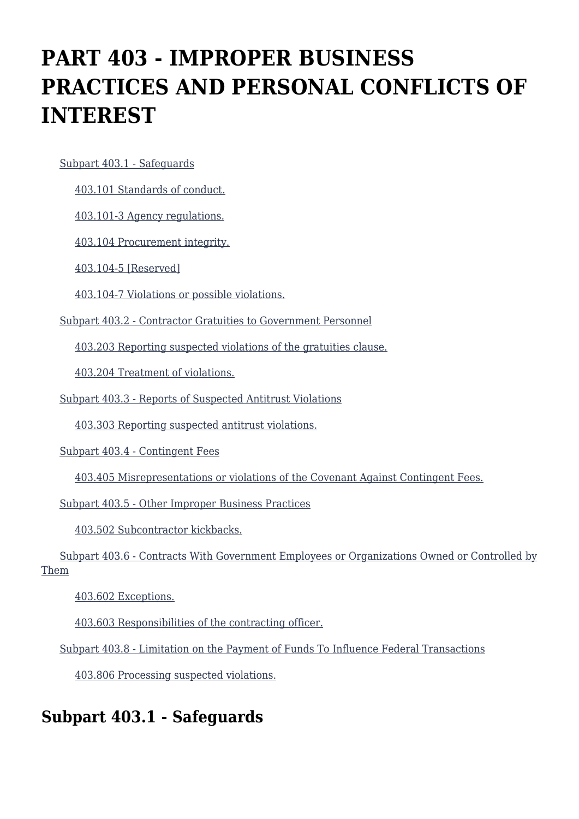# **PART 403 - IMPROPER BUSINESS PRACTICES AND PERSONAL CONFLICTS OF INTEREST**

[Subpart 403.1 - Safeguards](https://origin-www.acquisition.gov/%5Brp:link:agar-part-403%5D#Subpart_403_1_T48_4021141)

[403.101 Standards of conduct.](https://origin-www.acquisition.gov/%5Brp:link:agar-part-403%5D#Section_403_101_T48_402114111)

[403.101-3 Agency regulations.](https://origin-www.acquisition.gov/%5Brp:link:agar-part-403%5D#Section_403_101_3_T48_402114112)

[403.104 Procurement integrity.](https://origin-www.acquisition.gov/%5Brp:link:agar-part-403%5D#Section_403_104_T48_402114113)

[403.104-5 \[Reserved\]](https://origin-www.acquisition.gov/%5Brp:link:agar-part-403%5D#Section_403_104_5_T48_402114114)

[403.104-7 Violations or possible violations.](https://origin-www.acquisition.gov/%5Brp:link:agar-part-403%5D#Section_403_104_7_T48_402114115)

[Subpart 403.2 - Contractor Gratuities to Government Personnel](https://origin-www.acquisition.gov/%5Brp:link:agar-part-403%5D#Subpart_403_2_T48_4021142)

[403.203 Reporting suspected violations of the gratuities clause.](https://origin-www.acquisition.gov/%5Brp:link:agar-part-403%5D#Section_403_203_T48_402114211)

[403.204 Treatment of violations.](https://origin-www.acquisition.gov/%5Brp:link:agar-part-403%5D#Section_403_204_T48_402114212)

[Subpart 403.3 - Reports of Suspected Antitrust Violations](https://origin-www.acquisition.gov/%5Brp:link:agar-part-403%5D#Subpart_403_3_T48_4021143)

[403.303 Reporting suspected antitrust violations.](https://origin-www.acquisition.gov/%5Brp:link:agar-part-403%5D#Section_403_303_T48_402114311)

[Subpart 403.4 - Contingent Fees](https://origin-www.acquisition.gov/%5Brp:link:agar-part-403%5D#Subpart_403_4_T48_4021144)

[403.405 Misrepresentations or violations of the Covenant Against Contingent Fees.](https://origin-www.acquisition.gov/%5Brp:link:agar-part-403%5D#Section_403_405_T48_402114411)

[Subpart 403.5 - Other Improper Business Practices](https://origin-www.acquisition.gov/%5Brp:link:agar-part-403%5D#Subpart_403_5_T48_4021145)

[403.502 Subcontractor kickbacks.](https://origin-www.acquisition.gov/%5Brp:link:agar-part-403%5D#Section_403_502_T48_402114511)

 [Subpart 403.6 - Contracts With Government Employees or Organizations Owned or Controlled by](https://origin-www.acquisition.gov/%5Brp:link:agar-part-403%5D#Subpart_403_6_T48_4021146) [Them](https://origin-www.acquisition.gov/%5Brp:link:agar-part-403%5D#Subpart_403_6_T48_4021146)

[403.602 Exceptions.](https://origin-www.acquisition.gov/%5Brp:link:agar-part-403%5D#Section_403_602_T48_402114611)

[403.603 Responsibilities of the contracting officer.](https://origin-www.acquisition.gov/%5Brp:link:agar-part-403%5D#Section_403_603_T48_402114612)

[Subpart 403.8 - Limitation on the Payment of Funds To Influence Federal Transactions](https://origin-www.acquisition.gov/%5Brp:link:agar-part-403%5D#Subpart_403_8_T48_4021147)

[403.806 Processing suspected violations.](https://origin-www.acquisition.gov/%5Brp:link:agar-part-403%5D#Section_403_806_T48_402114711)

# **Subpart 403.1 - Safeguards**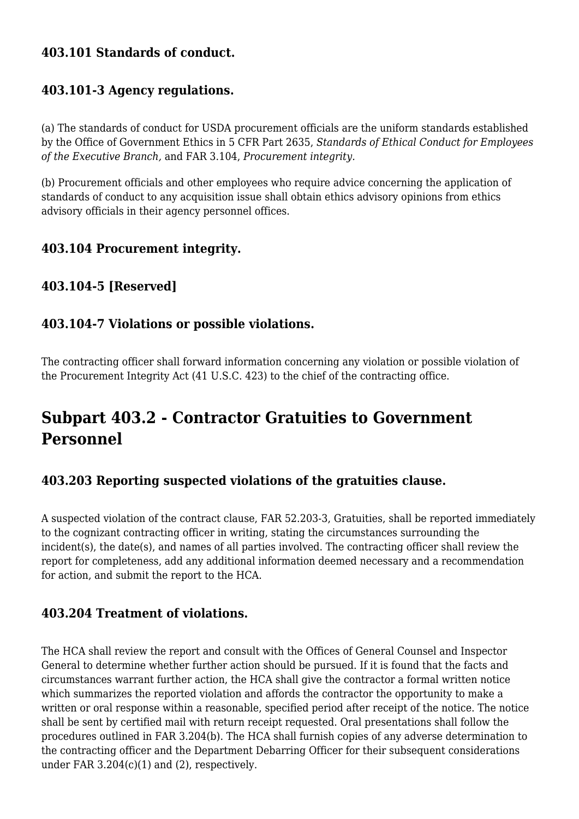### **403.101 Standards of conduct.**

#### **403.101-3 Agency regulations.**

(a) The standards of conduct for USDA procurement officials are the uniform standards established by the Office of Government Ethics in 5 CFR Part 2635, *Standards of Ethical Conduct for Employees of the Executive Branch,* and FAR 3.104, *Procurement integrity.*

(b) Procurement officials and other employees who require advice concerning the application of standards of conduct to any acquisition issue shall obtain ethics advisory opinions from ethics advisory officials in their agency personnel offices.

#### **403.104 Procurement integrity.**

#### **403.104-5 [Reserved]**

#### **403.104-7 Violations or possible violations.**

The contracting officer shall forward information concerning any violation or possible violation of the Procurement Integrity Act (41 U.S.C. 423) to the chief of the contracting office.

# **Subpart 403.2 - Contractor Gratuities to Government Personnel**

#### **403.203 Reporting suspected violations of the gratuities clause.**

A suspected violation of the contract clause, FAR 52.203-3, Gratuities, shall be reported immediately to the cognizant contracting officer in writing, stating the circumstances surrounding the incident(s), the date(s), and names of all parties involved. The contracting officer shall review the report for completeness, add any additional information deemed necessary and a recommendation for action, and submit the report to the HCA.

### **403.204 Treatment of violations.**

The HCA shall review the report and consult with the Offices of General Counsel and Inspector General to determine whether further action should be pursued. If it is found that the facts and circumstances warrant further action, the HCA shall give the contractor a formal written notice which summarizes the reported violation and affords the contractor the opportunity to make a written or oral response within a reasonable, specified period after receipt of the notice. The notice shall be sent by certified mail with return receipt requested. Oral presentations shall follow the procedures outlined in FAR 3.204(b). The HCA shall furnish copies of any adverse determination to the contracting officer and the Department Debarring Officer for their subsequent considerations under FAR 3.204(c)(1) and (2), respectively.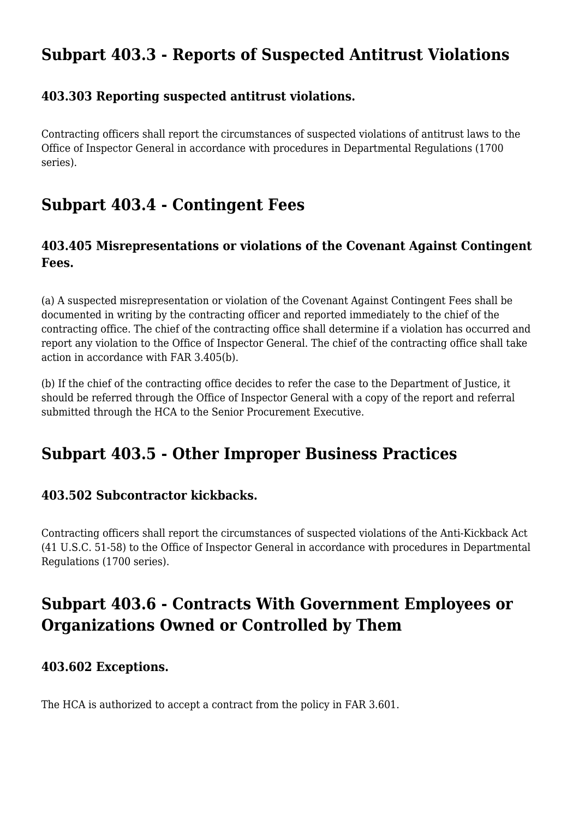# **Subpart 403.3 - Reports of Suspected Antitrust Violations**

#### **403.303 Reporting suspected antitrust violations.**

Contracting officers shall report the circumstances of suspected violations of antitrust laws to the Office of Inspector General in accordance with procedures in Departmental Regulations (1700 series).

# **Subpart 403.4 - Contingent Fees**

### **403.405 Misrepresentations or violations of the Covenant Against Contingent Fees.**

(a) A suspected misrepresentation or violation of the Covenant Against Contingent Fees shall be documented in writing by the contracting officer and reported immediately to the chief of the contracting office. The chief of the contracting office shall determine if a violation has occurred and report any violation to the Office of Inspector General. The chief of the contracting office shall take action in accordance with FAR 3.405(b).

(b) If the chief of the contracting office decides to refer the case to the Department of Justice, it should be referred through the Office of Inspector General with a copy of the report and referral submitted through the HCA to the Senior Procurement Executive.

### **Subpart 403.5 - Other Improper Business Practices**

#### **403.502 Subcontractor kickbacks.**

Contracting officers shall report the circumstances of suspected violations of the Anti-Kickback Act (41 U.S.C. 51-58) to the Office of Inspector General in accordance with procedures in Departmental Regulations (1700 series).

# **Subpart 403.6 - Contracts With Government Employees or Organizations Owned or Controlled by Them**

#### **403.602 Exceptions.**

The HCA is authorized to accept a contract from the policy in FAR 3.601.